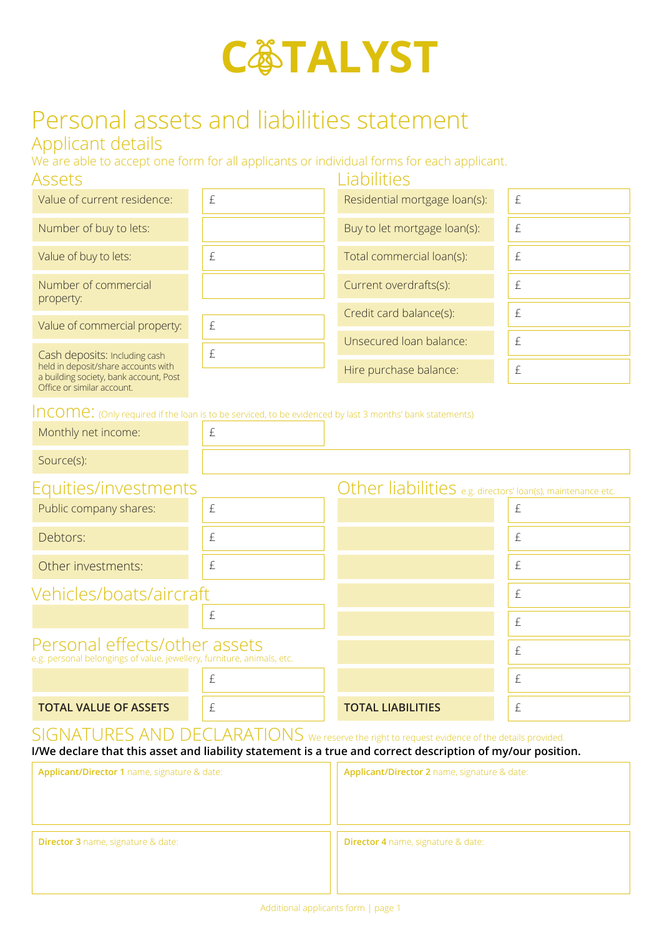

## Personal assets and liabilities statement

## Applicant details

We are able to accept one form for all applicants or individual forms for each applicant.

| Assets                                                                                                                                       |                         | Liabilities                   |   |
|----------------------------------------------------------------------------------------------------------------------------------------------|-------------------------|-------------------------------|---|
| Value of current residence:                                                                                                                  | £                       | Residential mortgage loan(s): | £ |
| Number of buy to lets:                                                                                                                       |                         | Buy to let mortgage loan(s):  | £ |
| Value of buy to lets:                                                                                                                        | £                       | Total commercial loan(s):     | £ |
| Number of commercial<br>property:<br>£<br>Value of commercial property:                                                                      |                         | Current overdrafts(s):        | £ |
|                                                                                                                                              |                         | Credit card balance(s):       | £ |
|                                                                                                                                              | Unsecured Ioan balance: | £                             |   |
| Cash deposits: Including cash<br>held in deposit/share accounts with<br>a building society, bank account, Post<br>Office or similar account. | £                       |                               |   |
|                                                                                                                                              |                         | Hire purchase balance:        | £ |
|                                                                                                                                              |                         |                               |   |

 $Incomp:  $Converg$$ 

| TT TUUTTIU, (OHIYTEGUITED II DIE IOAH IS LO DE SERICED, LO DE EVIDENCED DY IASL 3 HIOHLIS DAHK SLALENTEHLS) |           |                                                             |   |
|-------------------------------------------------------------------------------------------------------------|-----------|-------------------------------------------------------------|---|
| Monthly net income:                                                                                         | $\pounds$ |                                                             |   |
| Source(s):                                                                                                  |           |                                                             |   |
| Equities/investments                                                                                        |           | Other liabilities e.g. directors' loan(s), maintenance etc. |   |
| Public company shares:                                                                                      | £         |                                                             | £ |
| Debtors:                                                                                                    | £         |                                                             | £ |
| Other investments:                                                                                          | $\pounds$ |                                                             | £ |
| Vehicles/boats/aircraft                                                                                     |           |                                                             | £ |
|                                                                                                             | $\pounds$ |                                                             | £ |
| Personal effects/other assets<br>e.g. personal belongings of value, jewellery, furniture, animals, etc.     |           |                                                             | £ |
|                                                                                                             | £         |                                                             | £ |

SIGNATURES AND DECLARATIONS We reserve the right to request evidence of the details provided. **I/We declare that this asset and liability statement is a true and correct description of my/our position.**

**TOTAL VALUE OF ASSETS**  $\left| \begin{array}{ccc} \varepsilon & \varepsilon \end{array} \right|$  **TOTAL LIABILITIES** 

| Applicant/Director 1 name, signature & date: | Applicant/Director 2 name, signature & date: |
|----------------------------------------------|----------------------------------------------|
| <b>Director 3</b> name, signature & date:    | <b>Director 4</b> name, signature & date:    |